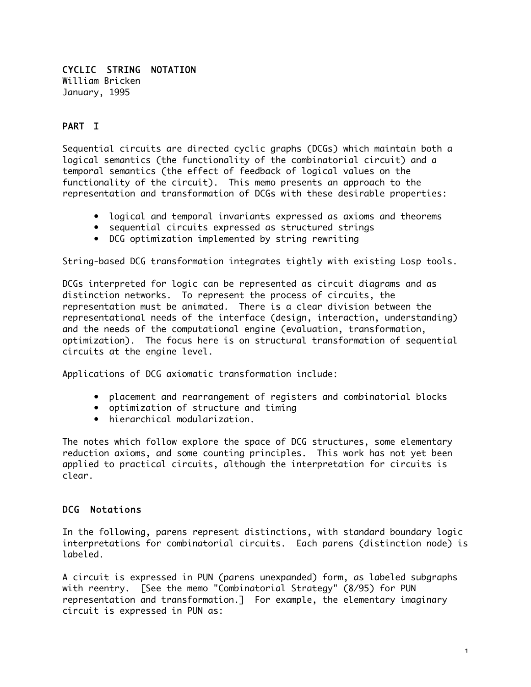#### CYCLIC STRING NOTATION William Bricken January, 1995

# PART I

Sequential circuits are directed cyclic graphs (DCGs) which maintain both a logical semantics (the functionality of the combinatorial circuit) and a temporal semantics (the effect of feedback of logical values on the functionality of the circuit). This memo presents an approach to the representation and transformation of DCGs with these desirable properties:

- logical and temporal invariants expressed as axioms and theorems
- sequential circuits expressed as structured strings
- DCG optimization implemented by string rewriting

String-based DCG transformation integrates tightly with existing Losp tools.

DCGs interpreted for logic can be represented as circuit diagrams and as distinction networks. To represent the process of circuits, the representation must be animated. There is a clear division between the representational needs of the interface (design, interaction, understanding) and the needs of the computational engine (evaluation, transformation, optimization). The focus here is on structural transformation of sequential circuits at the engine level.

Applications of DCG axiomatic transformation include:

- placement and rearrangement of registers and combinatorial blocks
- optimization of structure and timing
- hierarchical modularization.

The notes which follow explore the space of DCG structures, some elementary reduction axioms, and some counting principles. This work has not yet been applied to practical circuits, although the interpretation for circuits is clear.

#### DCG Notations

In the following, parens represent distinctions, with standard boundary logic interpretations for combinatorial circuits. Each parens (distinction node) is labeled.

A circuit is expressed in PUN (parens unexpanded) form, as labeled subgraphs with reentry. [See the memo "Combinatorial Strategy" (8/95) for PUN representation and transformation.] For example, the elementary imaginary circuit is expressed in PUN as: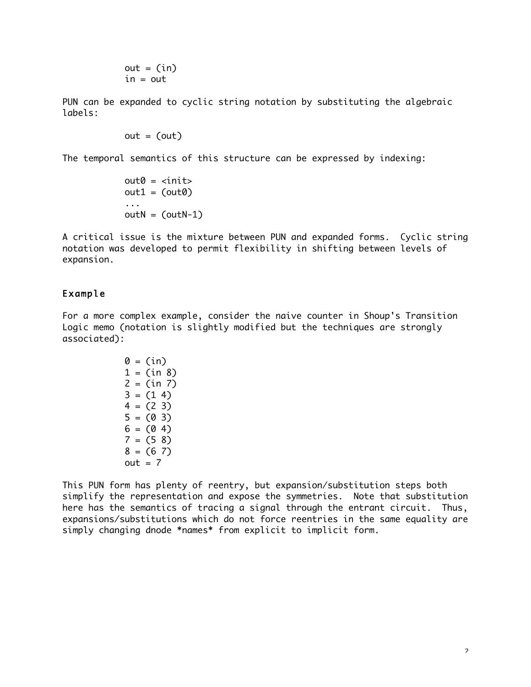$$
out = (in)
$$
  
in = out

PUN can be expanded to cyclic string notation by substituting the algebraic labels:

 $out = (out)$ 

The temporal semantics of this structure can be expressed by indexing:

```
out0 = 
out1 = (out0)...
outN = (outN-1)
```
A critical issue is the mixture between PUN and expanded forms. Cyclic string notation was developed to permit flexibility in shifting between levels of expansion.

## Example

For a more complex example, consider the naive counter in Shoup's Transition Logic memo (notation is slightly modified but the techniques are strongly associated):

$$
0 = (\text{in})
$$
  
\n
$$
1 = (\text{in } 8)
$$
  
\n
$$
2 = (\text{in } 7)
$$
  
\n
$$
3 = (1 4)
$$
  
\n
$$
4 = (2 3)
$$
  
\n
$$
5 = (0 3)
$$
  
\n
$$
6 = (0 4)
$$
  
\n
$$
7 = (5 8)
$$
  
\n
$$
8 = (6 7)
$$
  
\n
$$
out = 7
$$

This PUN form has plenty of reentry, but expansion/substitution steps both simplify the representation and expose the symmetries. Note that substitution here has the semantics of tracing a signal through the entrant circuit. Thus, expansions/substitutions which do not force reentries in the same equality are simply changing dnode \*names\* from explicit to implicit form.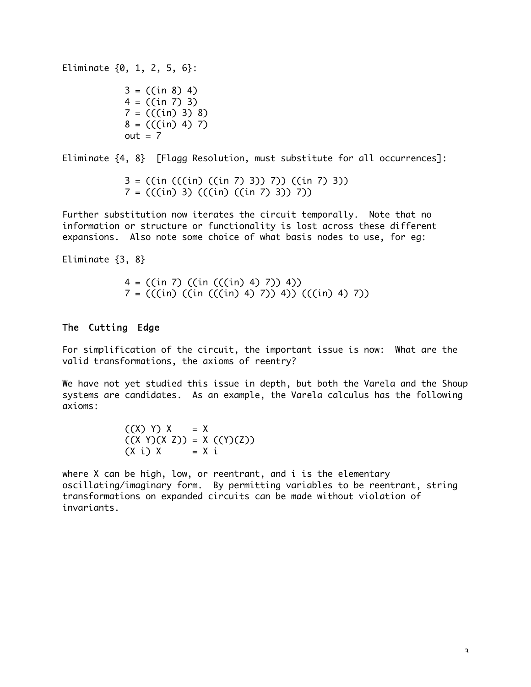Eliminate {0, 1, 2, 5, 6}:

 $3 = ((in 8) 4)$  $4 = ((in 7) 3)$  $7 = (((in) 3) 8)$  $8 = (((in) 4) 7)$  $out = 7$ 

Eliminate {4, 8} [Flagg Resolution, must substitute for all occurrences]:

3 = ((in (((in) ((in 7) 3)) 7)) ((in 7) 3))  $7 = (((in) 3) (((in) ((in 7) 3)) 7))$ 

Further substitution now iterates the circuit temporally. Note that no information or structure or functionality is lost across these different expansions. Also note some choice of what basis nodes to use, for eg:

Eliminate {3, 8}

4 = ((in 7) ((in (((in) 4) 7)) 4)) 7 = (((in) ((in (((in) 4) 7)) 4)) (((in) 4) 7))

## The Cutting Edge

For simplification of the circuit, the important issue is now: What are the valid transformations, the axioms of reentry?

We have not yet studied this issue in depth, but both the Varela and the Shoup systems are candidates. As an example, the Varela calculus has the following axioms:

> $((X) Y) X = X$  $((X Y)(X Z)) = X ((Y)(Z))$  $(X i) X = X i$

where X can be high, low, or reentrant, and i is the elementary oscillating/imaginary form. By permitting variables to be reentrant, string transformations on expanded circuits can be made without violation of invariants.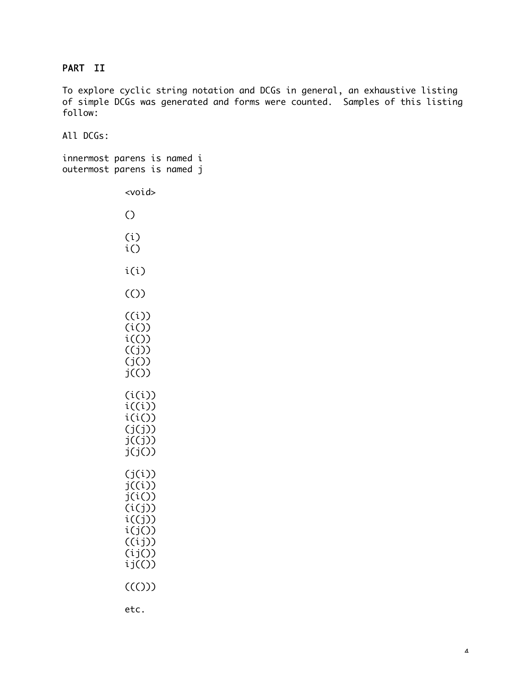## PART II

To explore cyclic string notation and DCGs in general, an exhaustive listing of simple DCGs was generated and forms were counted. Samples of this listing follow:

All DCGs:

innermost parens is named i outermost parens is named j

> <void> () (i) i() i(i) (()) ((i))  $(i()$  $i(\theta)$  $((j))$ (j())  $j(()$  $(i(i))$  $i((i))$ i(i())  $(j(j))$  $j((j))$  $j(j())$  $(j(i))$ j((i)) j(i())  $(i(j))$  $i((j))$  $i(j())$ ((ij)) (ij())  $ij(O)$  $((())$ etc.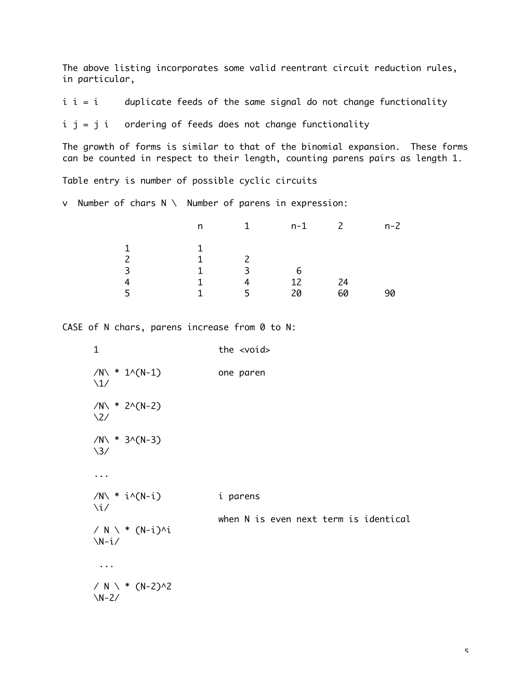The above listing incorporates some valid reentrant circuit reduction rules, in particular,

 $i$  i = i duplicate feeds of the same signal do not change functionality

 $i$  j = j i ordering of feeds does not change functionality

The growth of forms is similar to that of the binomial expansion. These forms can be counted in respect to their length, counting parens pairs as length 1.

Table entry is number of possible cyclic circuits

v Number of chars N \ Number of parens in expression:

|   | n | $\mathbf{1}$ | n-1 | $\overline{2}$ | $n-2$ |
|---|---|--------------|-----|----------------|-------|
| 1 |   |              |     |                |       |
|   | 1 |              |     |                |       |
| 3 | 1 | ्र           | 6   |                |       |
| 4 | 1 | 4            | 12  | 24             |       |
| 5 | 1 | 5.           | 20  | 60             |       |
|   |   |              |     |                |       |

CASE of N chars, parens increase from 0 to N:

| $\mathbf{1}$                                     | the <void></void>                     |
|--------------------------------------------------|---------------------------------------|
| $/N \times 1 \cdot (N-1)$<br>$\setminus$ 1/      | one paren                             |
| $/N \times 2 \cdot (N-2)$<br>$\2/$               |                                       |
| $/N \times 3 \cdot (N-3)$<br>$\frac{3}{2}$       |                                       |
|                                                  |                                       |
| $/N \times i \land (N-i)$<br>$\chi$ i/           | i parens                              |
| / $N \setminus * (N-i)$ <sup>/</sup> i<br>$N-i/$ | when N is even next term is identical |
| $\cdots$                                         |                                       |
| / $N \setminus * (N-2) \wedge 2$<br>$N-2/$       |                                       |